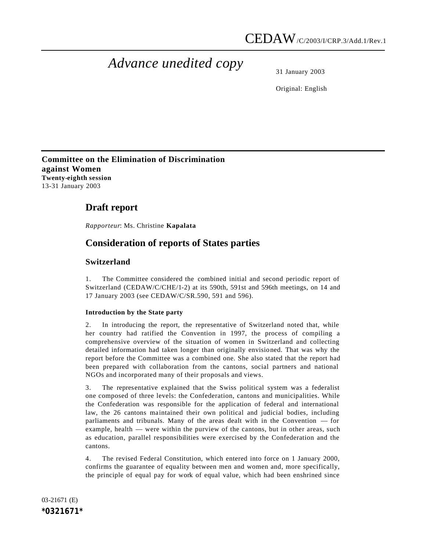# *Advance unedited copy*

31 January 2003

Original: English

**Committee on the Elimination of Discrimination against Women Twenty-eighth session** 13-31 January 2003

# **Draft report**

*Rapporteur*: Ms. Christine **Kapalata**

# **Consideration of reports of States parties**

# **Switzerland**

1. The Committee considered the combined initial and second periodic report of Switzerland (CEDAW/C/CHE/1-2) at its 590th, 591st and 596th meetings, on 14 and 17 January 2003 (see CEDAW/C/SR.590, 591 and 596).

# **Introduction by the State party**

2. In introducing the report, the representative of Switzerland noted that, while her country had ratified the Convention in 1997, the process of compiling a comprehensive overview of the situation of women in Switzerland and collecting detailed information had taken longer than originally envisioned. That was why the report before the Committee was a combined one. She also stated that the report had been prepared with collaboration from the cantons, social partners and national NGOs and incorporated many of their proposals and views.

3. The representative explained that the Swiss political system was a federalist one composed of three levels: the Confederation, cantons and municipalities. While the Confederation was responsible for the application of federal and international law, the 26 cantons maintained their own political and judicial bodies, including parliaments and tribunals. Many of the areas dealt with in the Convention — for example, health — were within the purview of the cantons, but in other areas, such as education, parallel responsibilities were exercised by the Confederation and the cantons.

4. The revised Federal Constitution, which entered into force on 1 January 2000, confirms the guarantee of equality between men and women and, more specifically, the principle of equal pay for work of equal value, which had been enshrined since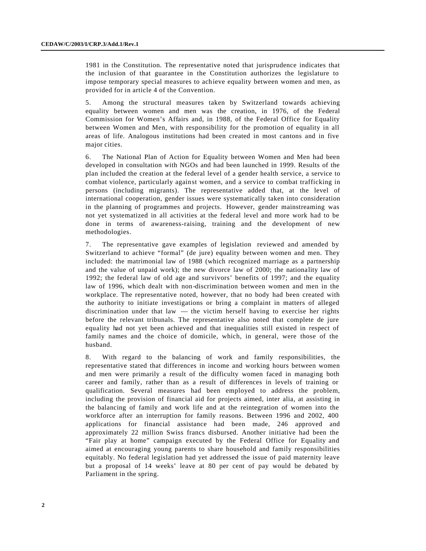1981 in the Constitution. The representative noted that jurisprudence indicates that the inclusion of that guarantee in the Constitution authorizes the legislature to impose temporary special measures to achieve equality between women and men, as provided for in article 4 of the Convention.

5. Among the structural measures taken by Switzerland towards achieving equality between women and men was the creation, in 1976, of the Federal Commission for Women's Affairs and, in 1988, of the Federal Office for Equality between Women and Men, with responsibility for the promotion of equality in all areas of life. Analogous institutions had been created in most cantons and in five major cities.

6. The National Plan of Action for Equality between Women and Men had been developed in consultation with NGOs and had been launched in 1999. Results of the plan included the creation at the federal level of a gender health service, a service to combat violence, particularly against women, and a service to combat trafficking in persons (including migrants). The representative added that, at the level of international cooperation, gender issues were systematically taken into consideration in the planning of programmes and projects. However, gender mainstreaming was not yet systematized in all activities at the federal level and more work had to be done in terms of awareness-raising, training and the development of new methodologies.

7. The representative gave examples of legislation reviewed and amended by Switzerland to achieve "formal" (de jure) equality between women and men. They included: the matrimonial law of 1988 (which recognized marriage as a partnership and the value of unpaid work); the new divorce law of 2000; the nationality law of 1992; the federal law of old age and survivors' benefits of 1997; and the equality law of 1996, which dealt with non-discrimination between women and men in the workplace. The representative noted, however, that no body had been created with the authority to initiate investigations or bring a complaint in matters of alleged discrimination under that law — the victim herself having to exercise her rights before the relevant tribunals. The representative also noted that complete de jure equality had not yet been achieved and that inequalities still existed in respect of family names and the choice of domicile, which, in general, were those of the husband.

8. With regard to the balancing of work and family responsibilities, the representative stated that differences in income and working hours between women and men were primarily a result of the difficulty women faced in managing both career and family, rather than as a result of differences in levels of training or qualification. Several measures had been employed to address the problem, including the provision of financial aid for projects aimed, inter alia, at assisting in the balancing of family and work life and at the reintegration of women into the workforce after an interruption for family reasons. Between 1996 and 2002, 400 applications for financial assistance had been made, 246 approved and approximately 22 million Swiss francs disbursed. Another initiative had been the "Fair play at home" campaign executed by the Federal Office for Equality and aimed at encouraging young parents to share household and family responsibilities equitably. No federal legislation had yet addressed the issue of paid maternity leave but a proposal of 14 weeks' leave at 80 per cent of pay would be debated by Parliament in the spring.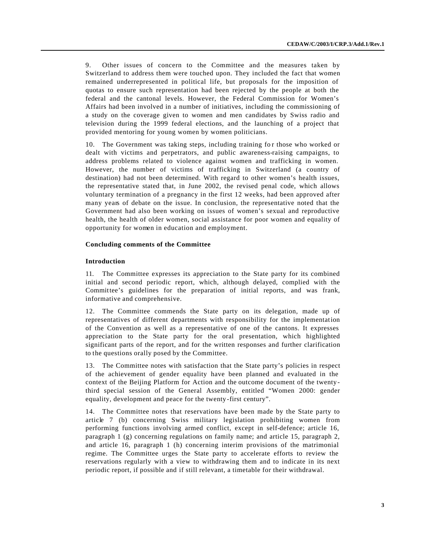9. Other issues of concern to the Committee and the measures taken by Switzerland to address them were touched upon. They included the fact that women remained underrepresented in political life, but proposals for the imposition of quotas to ensure such representation had been rejected by the people at both the federal and the cantonal levels. However, the Federal Commission for Women's Affairs had been involved in a number of initiatives, including the commissioning of a study on the coverage given to women and men candidates by Swiss radio and television during the 1999 federal elections, and the launching of a project that provided mentoring for young women by women politicians.

10. The Government was taking steps, including training for those who worked or dealt with victims and perpetrators, and public awareness-raising campaigns, to address problems related to violence against women and trafficking in women. However, the number of victims of trafficking in Switzerland (a country of destination) had not been determined. With regard to other women's health issues, the representative stated that, in June 2002, the revised penal code, which allows voluntary termination of a pregnancy in the first 12 weeks, had been approved after many years of debate on the issue. In conclusion, the representative noted that the Government had also been working on issues of women's sexual and reproductive health, the health of older women, social assistance for poor women and equality of opportunity for women in education and employment.

### **Concluding comments of the Committee**

#### **Introduction**

11. The Committee expresses its appreciation to the State party for its combined initial and second periodic report, which, although delayed, complied with the Committee's guidelines for the preparation of initial reports, and was frank, informative and comprehensive.

12. The Committee commends the State party on its delegation, made up of representatives of different departments with responsibility for the implementation of the Convention as well as a representative of one of the cantons. It expresses appreciation to the State party for the oral presentation, which highlighted significant parts of the report, and for the written responses and further clarification to the questions orally posed by the Committee.

13. The Committee notes with satisfaction that the State party's policies in respect of the achievement of gender equality have been planned and evaluated in the context of the Beijing Platform for Action and the outcome document of the twentythird special session of the General Assembly, entitled "Women 2000: gender equality, development and peace for the twenty-first century".

14. The Committee notes that reservations have been made by the State party to article 7 (b) concerning Swiss military legislation prohibiting women from performing functions involving armed conflict, except in self-defence; article 16, paragraph 1 (g) concerning regulations on family name; and article 15, paragraph 2, and article 16, paragraph 1 (h) concerning interim provisions of the matrimonial regime. The Committee urges the State party to accelerate efforts to review the reservations regularly with a view to withdrawing them and to indicate in its next periodic report, if possible and if still relevant, a timetable for their withdrawal.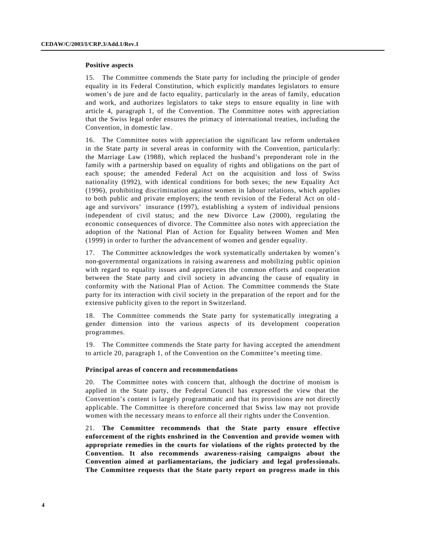#### **Positive aspects**

15. The Committee commends the State party for including the principle of gender equality in its Federal Constitution, which explicitly mandates legislators to ensure women's de jure and de facto equality, particularly in the areas of family, education and work, and authorizes legislators to take steps to ensure equality in line with article 4, paragraph 1, of the Convention. The Committee notes with appreciation that the Swiss legal order ensures the primacy of international treaties, including the Convention, in domestic law.

16. The Committee notes with appreciation the significant law reform undertaken in the State party in several areas in conformity with the Convention, particularly: the Marriage Law (1988), which replaced the husband's preponderant role in the family with a partnership based on equality of rights and obligations on the part of each spouse; the amended Federal Act on the acquisition and loss of Swiss nationality (1992), with identical conditions for both sexes; the new Equality Act (1996), prohibiting discrimination against women in labour relations, which applies to both public and private employers; the tenth revision of the Federal Act on old age and survivors' insurance (1997), establishing a system of individual pensions independent of civil status; and the new Divorce Law (2000), regulating the economic consequences of divorce. The Committee also notes with appreciation the adoption of the National Plan of Action for Equality between Women and Men (1999) in order to further the advancement of women and gender equality.

17. The Committee acknowledges the work systematically undertaken by women's non-governmental organizations in raising awareness and mobilizing public opinion with regard to equality issues and appreciates the common efforts and cooperation between the State party and civil society in advancing the cause of equality in conformity with the National Plan of Action. The Committee commends the State party for its interaction with civil society in the preparation of the report and for the extensive publicity given to the report in Switzerland.

18. The Committee commends the State party for systematically integrating a gender dimension into the various aspects of its development cooperation programmes.

19. The Committee commends the State party for having accepted the amendment to article 20, paragraph 1, of the Convention on the Committee's meeting time.

#### **Principal areas of concern and recommendations**

20. The Committee notes with concern that, although the doctrine of monism is applied in the State party, the Federal Council has expressed the view that the Convention's content is largely programmatic and that its provisions are not directly applicable. The Committee is therefore concerned that Swiss law may not provide women with the necessary means to enforce all their rights under the Convention.

21. **The Committee recommends that the State party ensure effective enforcement of the rights enshrined in the Convention and provide women with appropriate remedies in the courts for violations of the rights protected by the Convention. It also recommends awareness-raising campaigns about the Convention aimed at parliamentarians, the judiciary and legal professionals. The Committee requests that the State party report on progress made in this**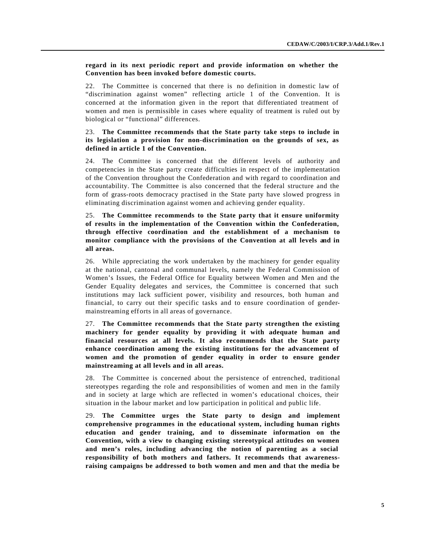**regard in its next periodic report and provide information on whether the Convention has been invoked before domestic courts.**

22. The Committee is concerned that there is no definition in domestic law of "discrimination against women" reflecting article 1 of the Convention. It is concerned at the information given in the report that differentiated treatment of women and men is permissible in cases where equality of treatment is ruled out by biological or "functional" differences.

# 23. **The Committee recommends that the State party take steps to include in its legislation a provision for non-discrimination on the grounds of sex, as defined in article 1 of the Convention.**

24. The Committee is concerned that the different levels of authority and competencies in the State party create difficulties in respect of the implementation of the Convention throughout the Confederation and with regard to coordination and accountability. The Committee is also concerned that the federal structure and the form of grass-roots democracy practised in the State party have slowed progress in eliminating discrimination against women and achieving gender equality.

25. **The Committee recommends to the State party that it ensure uniformity of results in the implementation of the Convention within the Confederation, through effective coordination and the establishment of a mechanism to monitor compliance with the provisions of the Convention at all levels and in all areas.**

26. While appreciating the work undertaken by the machinery for gender equality at the national, cantonal and communal levels, namely the Federal Commission of Women's Issues, the Federal Office for Equality between Women and Men and the Gender Equality delegates and services, the Committee is concerned that such institutions may lack sufficient power, visibility and resources, both human and financial, to carry out their specific tasks and to ensure coordination of gendermainstreaming efforts in all areas of governance.

27. **The Committee recommends that the State party strengthen the existing machinery for gender equality by providing it with adequate human and financial resources at all levels. It also recommends that the State party enhance coordination among the existing institutions for the advancement of women and the promotion of gender equality in order to ensure gender mainstreaming at all levels and in all areas.**

28. The Committee is concerned about the persistence of entrenched, traditional stereotypes regarding the role and responsibilities of women and men in the family and in society at large which are reflected in women's educational choices, their situation in the labour market and low participation in political and public life.

29. **The Committee urges the State party to design and implement comprehensive programmes in the educational system, including human rights education and gender training, and to disseminate information on the Convention, with a view to changing existing stereotypical attitudes on women and men's roles, including advancing the notion of parenting as a social responsibility of both mothers and fathers. It recommends that awarenessraising campaigns be addressed to both women and men and that the media be**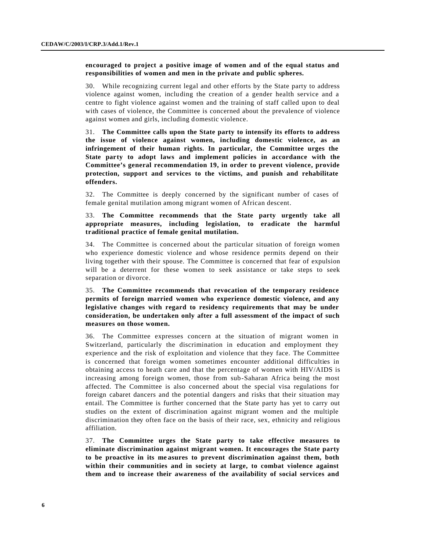# **encouraged to project a positive image of women and of the equal status and responsibilities of women and men in the private and public spheres.**

30. While recognizing current legal and other efforts by the State party to address violence against women, including the creation of a gender health service and a centre to fight violence against women and the training of staff called upon to deal with cases of violence, the Committee is concerned about the prevalence of violence against women and girls, including domestic violence.

31. **The Committee calls upon the State party to intensify its efforts to address the issue of violence against women, including domestic violence, as an infringement of their human rights. In particular, the Committee urges the State party to adopt laws and implement policies in accordance with the Committee's general recommendation 19, in order to prevent violence, provide protection, support and services to the victims, and punish and rehabilitate offenders.** 

32. The Committee is deeply concerned by the significant number of cases of female genital mutilation among migrant women of African descent.

# 33. **The Committee recommends that the State party urgently take all appropriate measures, including legislation, to eradicate the harmful traditional practice of female genital mutilation.**

34. The Committee is concerned about the particular situation of foreign women who experience domestic violence and whose residence permits depend on their living together with their spouse. The Committee is concerned that fear of expulsion will be a deterrent for these women to seek assistance or take steps to seek separation or divorce.

# 35. **The Committee recommends that revocation of the temporary residence permits of foreign married women who experience domestic violence, and any legislative changes with regard to residency requirements that may be under consideration, be undertaken only after a full assessment of the impact of such measures on those women.**

36. The Committee expresses concern at the situation of migrant women in Switzerland, particularly the discrimination in education and employment they experience and the risk of exploitation and violence that they face. The Committee is concerned that foreign women sometimes encounter additional difficulties in obtaining access to heath care and that the percentage of women with HIV/AIDS is increasing among foreign women, those from sub-Saharan Africa being the most affected. The Committee is also concerned about the special visa regulations for foreign cabaret dancers and the potential dangers and risks that their situation may entail. The Committee is further concerned that the State party has yet to carry out studies on the extent of discrimination against migrant women and the multiple discrimination they often face on the basis of their race, sex, ethnicity and religious affiliation.

37. **The Committee urges the State party to take effective measures to eliminate discrimination against migrant women. It encourages the State party to be proactive in its me asures to prevent discrimination against them, both within their communities and in society at large, to combat violence against them and to increase their awareness of the availability of social services and**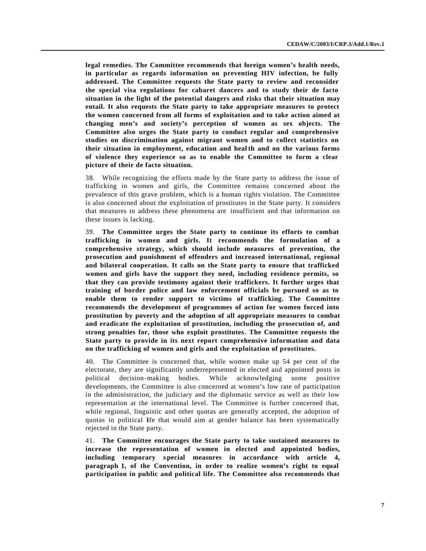**legal remedies. The Committee recommends that foreign women's health needs, in particular as regards information on preventing HIV infection, be fully addressed. The Committee requests the State party to review and reconsider the special visa regulations for cabaret dancers and to study their de facto situation in the light of the potential dangers and risks that their situation may entail. It also requests the State party to take appropriate measures to protect the women concerned from all forms of exploitation and to take action aimed at changing men's and society's perception of women as sex objects. The Committee also urges the State party to conduct regular and comprehensive studies on discrimination against migrant women and to collect statistics on their situation in employment, education and heal th and on the various forms of violence they experience so as to enable the Committee to form a clear picture of their de facto situation.**

38. While recognizing the efforts made by the State party to address the issue of trafficking in women and girls, the Committee remains concerned about the prevalence of this grave problem, which is a human rights violation. The Committee is also concerned about the exploitation of prostitutes in the State party. It considers that measures to address these phenomena are insufficient and that information on these issues is lacking.

39. **The Committee urges the State party to continue its efforts to combat trafficking in women and girls. It recommends the formulation of a comprehensive strategy, which should include measures of prevention, the prosecution and punishment of offenders and increased international, regional and bilateral cooperation. It calls on the State party to ensure that trafficked women and girls have the support they need, including residence permits, so that they can provide testimony against their traffickers. It further urges that training of border police and law enforcement officials be pursued so as to enable them to render support to victims of trafficking. The Committee recommends the development of programmes of action for women forced into prostitution by poverty and the adoption of all appropriate measures to combat and eradicate the exploitation of prostitution, including the prosecution of, and strong penalties for, those who exploit prostitutes. The Committee requests the State party to provide in its next report comprehensive information and data on the trafficking of women and girls and the exploitation of prostitutes.**

40. The Committee is concerned that, while women make up 54 per cent of the electorate, they are significantly underrepresented in elected and appointed posts in political decision-making bodies. While acknowledging some positive developments, the Committee is also concerned at women's low rate of participation in the administration, the judiciary and the diplomatic service as well as their low representation at the international level. The Committee is further concerned that, while regional, linguistic and other quotas are generally accepted, the adoption of quotas in political life that would aim at gender balance has been systematically rejected in the State party.

41. **The Committee encourages the State party to take sustained measures to increase the representation of women in elected and appointed bodies, including temporary s pecial measures in accordance with article 4, paragraph 1, of the Convention, in order to realize women's right to equal participation in public and political life. The Committee also recommends that**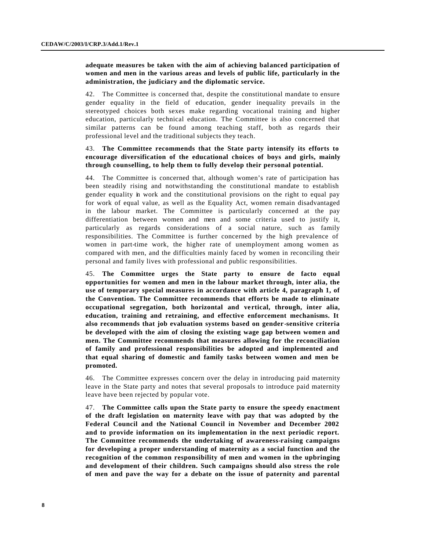# **adequate measures be taken with the aim of achieving balanced participation of women and men in the various areas and levels of public life, particularly in the administration, the judiciary and the diplomatic service.**

42. The Committee is concerned that, despite the constitutional mandate to ensure gender equality in the field of education, gender inequality prevails in the stereotyped choices both sexes make regarding vocational training and higher education, particularly technical education. The Committee is also concerned that similar patterns can be found among teaching staff, both as regards their professional level and the traditional subjects they teach.

# 43. **The Committee recommends that the State party intensify its efforts to encourage diversification of the educational choices of boys and girls, mainly through counselling, to help them to fully develop their personal potential.**

44. The Committee is concerned that, although women's rate of participation has been steadily rising and notwithstanding the constitutional mandate to establish gender equality in work and the constitutional provisions on the right to equal pay for work of equal value, as well as the Equality Act, women remain disadvantaged in the labour market. The Committee is particularly concerned at the pay differentiation between women and men and some criteria used to justify it, particularly as regards considerations of a social nature, such as family responsibilities. The Committee is further concerned by the high prevalence of women in part-time work, the higher rate of unemployment among women as compared with men, and the difficulties mainly faced by women in reconciling their personal and family lives with professional and public responsibilities.

45. **The Committee urges the State party to ensure de facto equal opportunities for women and men in the labour market through, inter alia, the use of temporary special measures in accordance with article 4, paragraph 1, of the Convention. The Committee recommends that efforts be made to eliminate occupational segregation, both horizontal and vertical, through, inter alia, education, training and retraining, and effective enforcement mechanisms. It also recommends that job evaluation systems based on gender -sensitive criteria be developed with the aim of closing the existing wage gap between women and men. The Committee recommends that measures allowing for the reconciliation of family and professional responsibilities be adopted and implemented and that equal sharing of domestic and family tasks between women and men be promoted.**

46. The Committee expresses concern over the delay in introducing paid maternity leave in the State party and notes that several proposals to introduce paid maternity leave have been rejected by popular vote.

47. **The Committee calls upon the State party to ensure the speedy enactment of the draft legislation on maternity leave with pay that was adopted by the Federal Council and the National Council in November and December 2002 and to provide information on its implementation in the next periodic report. The Committee recommends the undertaking of awareness-raising campaigns for developing a proper understanding of maternity as a social function and the recognition of the common responsibility of men and women in the upbringing and development of their children. Such campaigns should also stress the role of men and pave the way for a debate on the issue of paternity and parental**